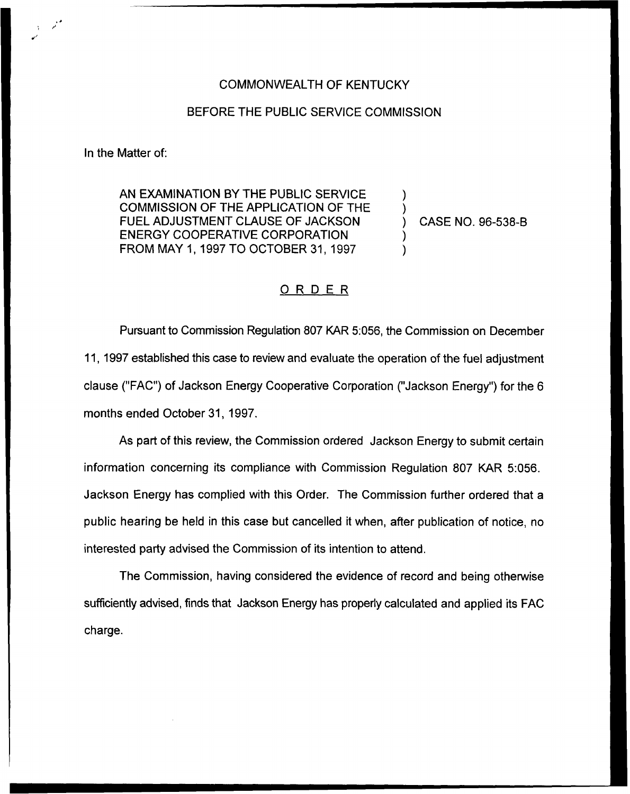## COMMONWEALTH OF KENTUCKY

## BEFORE THE PUBLIC SERVICE COMMISSION

In the Matter of:

AN EXAMINATION BY THE PUBLIC SERVICE COMMISSION OF THE APPLICATION OF THE FUEL ADJUSTMENT CLAUSE OF JACKSON ENERGY COOPERATIVE CORPORATION FROM MAY 1, 1997 TO OCTOBER 31, 1997

) CASE NO. 96-538-B

) )

) )

## ORDER

Pursuant to Commission Regulation 807 KAR 5:056, the Commission on December 11, 1997 established this case to review and evaluate the operation of the fuel adjustment clause ("FAC") of Jackson Energy Cooperative Corporation ("Jackson Energy") for the 6 months ended October 31, 1997.

As part of this review, the Commission ordered Jackson Energy to submit certain information concerning its compliance with Commission Regulation 807 KAR 5:056. Jackson Energy has complied with this Order. The Commission further ordered that a public hearing be held in this case but cancelled it when, after publication of notice, no interested party advised the Commission of its intention to attend.

The Commission, having considered the evidence of record and being otherwise sufficiently advised, finds that Jackson Energy has properly calculated and applied its FAC charge.